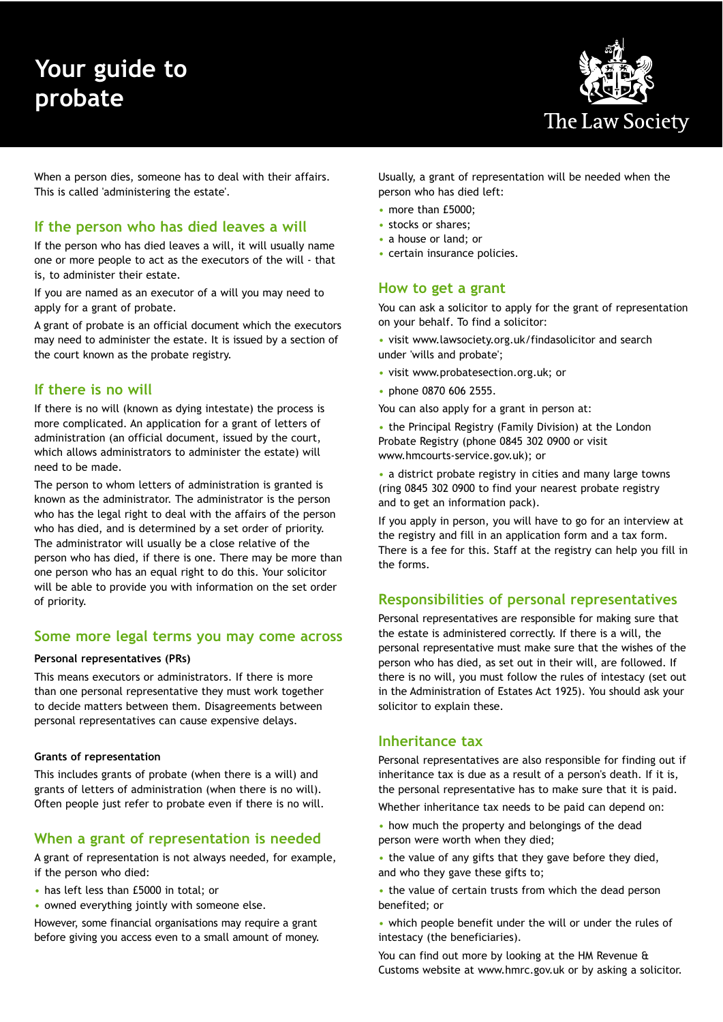# **Your guide to probate**



When a person dies, someone has to deal with their affairs. This is called 'administering the estate'.

## **If the person who has died leaves a will**

If the person who has died leaves a will, it will usually name one or more people to act as the executors of the will - that is, to administer their estate.

If you are named as an executor of a will you may need to apply for a grant of probate.

A grant of probate is an official document which the executors may need to administer the estate. It is issued by a section of the court known as the probate registry.

### **If there is no will**

If there is no will (known as dying intestate) the process is more complicated. An application for a grant of letters of administration (an official document, issued by the court, which allows administrators to administer the estate) will need to be made.

The person to whom letters of administration is granted is known as the administrator. The administrator is the person who has the legal right to deal with the affairs of the person who has died, and is determined by a set order of priority. The administrator will usually be a close relative of the person who has died, if there is one. There may be more than one person who has an equal right to do this. Your solicitor will be able to provide you with information on the set order of priority.

#### **Some more legal terms you may come across**

#### **Personal representatives (PRs)**

This means executors or administrators. If there is more than one personal representative they must work together to decide matters between them. Disagreements between personal representatives can cause expensive delays.

#### **Grants of representation**

This includes grants of probate (when there is a will) and grants of letters of administration (when there is no will). Often people just refer to probate even if there is no will.

## **When a grant of representation is needed**

A grant of representation is not always needed, for example, if the person who died:

- has left less than £5000 in total; or
- owned everything jointly with someone else.

However, some financial organisations may require a grant before giving you access even to a small amount of money. Usually, a grant of representation will be needed when the person who has died left:

- more than £5000;
- stocks or shares;
- a house or land; or
- certain insurance policies.

### **How to get a grant**

You can ask a solicitor to apply for the grant of representation on your behalf. To find a solicitor:

- visit www.lawsociety.org.uk/findasolicitor and search under 'wills and probate';
- visit www.probatesection.org.uk; or
- phone 0870 606 2555.

You can also apply for a grant in person at:

• the Principal Registry (Family Division) at the London Probate Registry (phone 0845 302 0900 or visit www.hmcourts-service.gov.uk); or

• a district probate registry in cities and many large towns (ring 0845 302 0900 to find your nearest probate registry and to get an information pack).

If you apply in person, you will have to go for an interview at the registry and fill in an application form and a tax form. There is a fee for this. Staff at the registry can help you fill in the forms.

# **Responsibilities of personal representatives**

Personal representatives are responsible for making sure that the estate is administered correctly. If there is a will, the personal representative must make sure that the wishes of the person who has died, as set out in their will, are followed. If there is no will, you must follow the rules of intestacy (set out in the Administration of Estates Act 1925). You should ask your solicitor to explain these.

### **Inheritance tax**

Personal representatives are also responsible for finding out if inheritance tax is due as a result of a person's death. If it is, the personal representative has to make sure that it is paid. Whether inheritance tax needs to be paid can depend on:

- how much the property and belongings of the dead person were worth when they died;
- the value of any gifts that they gave before they died, and who they gave these gifts to;
- the value of certain trusts from which the dead person benefited; or
- which people benefit under the will or under the rules of intestacy (the beneficiaries).
- You can find out more by looking at the HM Revenue & Customs website at www.hmrc.gov.uk or by asking a solicitor.